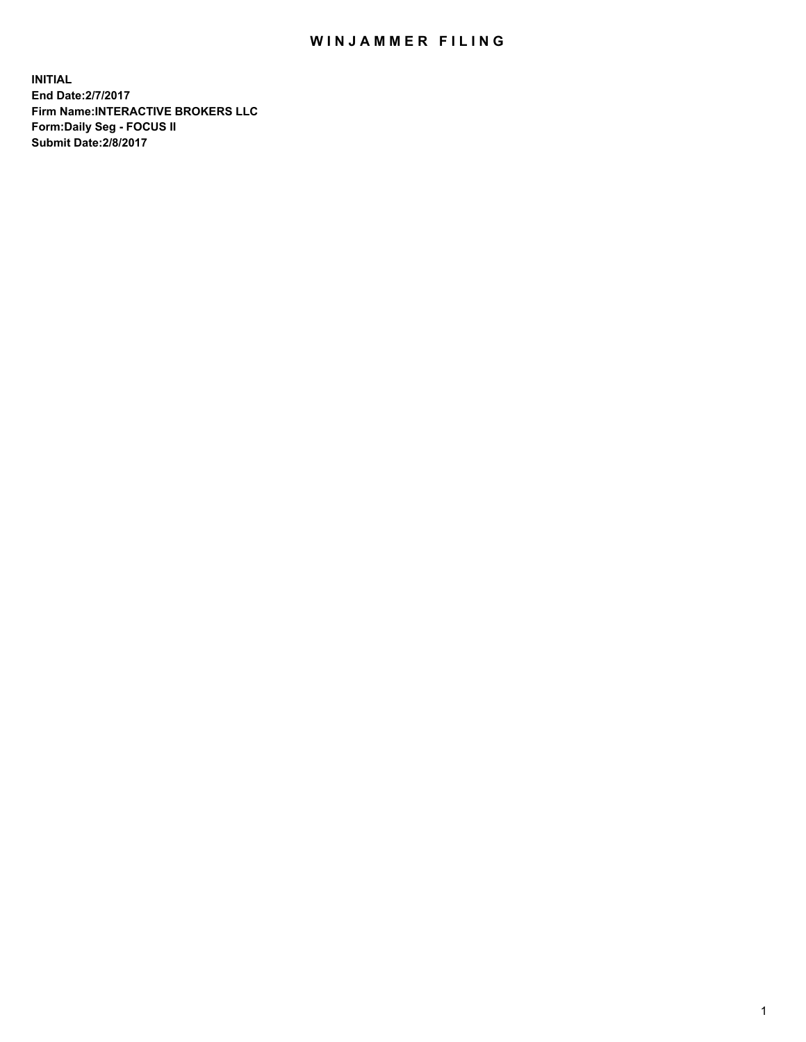## WIN JAMMER FILING

**INITIAL End Date:2/7/2017 Firm Name:INTERACTIVE BROKERS LLC Form:Daily Seg - FOCUS II Submit Date:2/8/2017**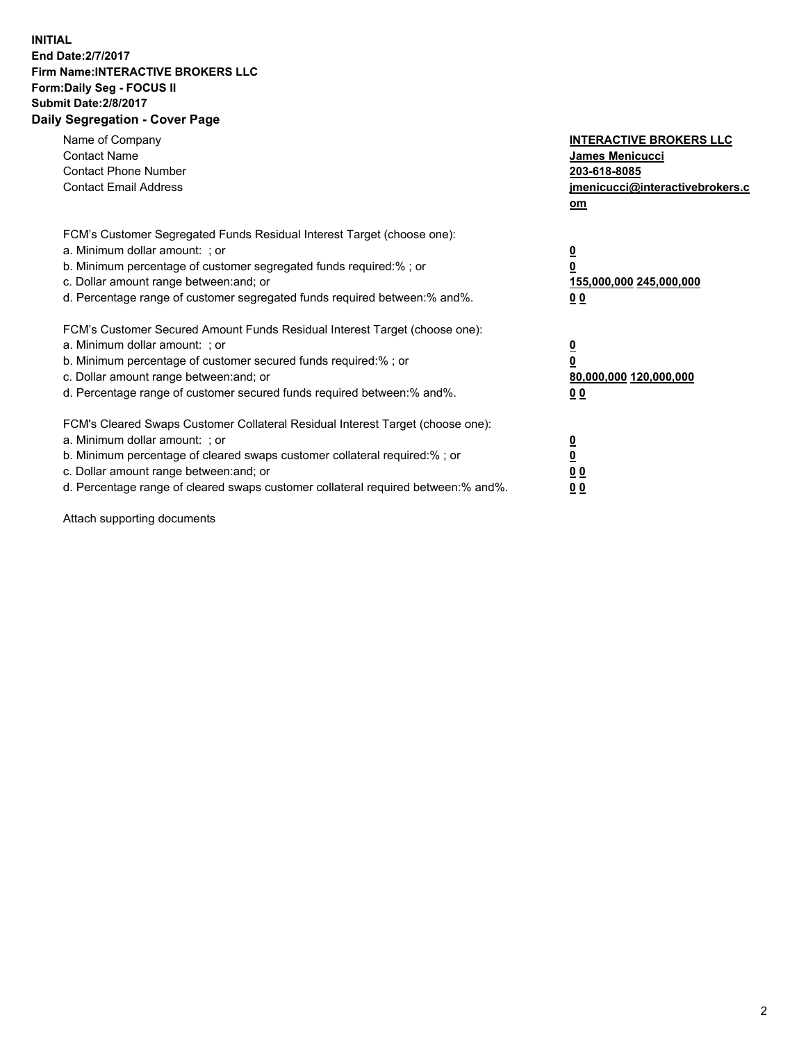## **INITIAL End Date:2/7/2017 Firm Name:INTERACTIVE BROKERS LLC Form:Daily Seg - FOCUS II Submit Date:2/8/2017 Daily Segregation - Cover Page**

| Name of Company<br><b>Contact Name</b><br><b>Contact Phone Number</b><br><b>Contact Email Address</b>                                                                                                                                                                                                                          | <b>INTERACTIVE BROKERS LLC</b><br><b>James Menicucci</b><br>203-618-8085<br>jmenicucci@interactivebrokers.c<br>om |
|--------------------------------------------------------------------------------------------------------------------------------------------------------------------------------------------------------------------------------------------------------------------------------------------------------------------------------|-------------------------------------------------------------------------------------------------------------------|
| FCM's Customer Segregated Funds Residual Interest Target (choose one):<br>a. Minimum dollar amount: ; or<br>b. Minimum percentage of customer segregated funds required:% ; or<br>c. Dollar amount range between: and; or<br>d. Percentage range of customer segregated funds required between: % and %.                       | $\overline{\mathbf{0}}$<br>0<br>155,000,000 245,000,000<br>00                                                     |
| FCM's Customer Secured Amount Funds Residual Interest Target (choose one):<br>a. Minimum dollar amount: ; or<br>b. Minimum percentage of customer secured funds required:%; or<br>c. Dollar amount range between: and; or<br>d. Percentage range of customer secured funds required between: % and %.                          | $\overline{\mathbf{0}}$<br>0<br>80,000,000 120,000,000<br>00                                                      |
| FCM's Cleared Swaps Customer Collateral Residual Interest Target (choose one):<br>a. Minimum dollar amount: ; or<br>b. Minimum percentage of cleared swaps customer collateral required:% ; or<br>c. Dollar amount range between: and; or<br>d. Percentage range of cleared swaps customer collateral required between:% and%. | $\overline{\mathbf{0}}$<br>$\overline{\mathbf{0}}$<br>00<br>0 <sub>0</sub>                                        |

Attach supporting documents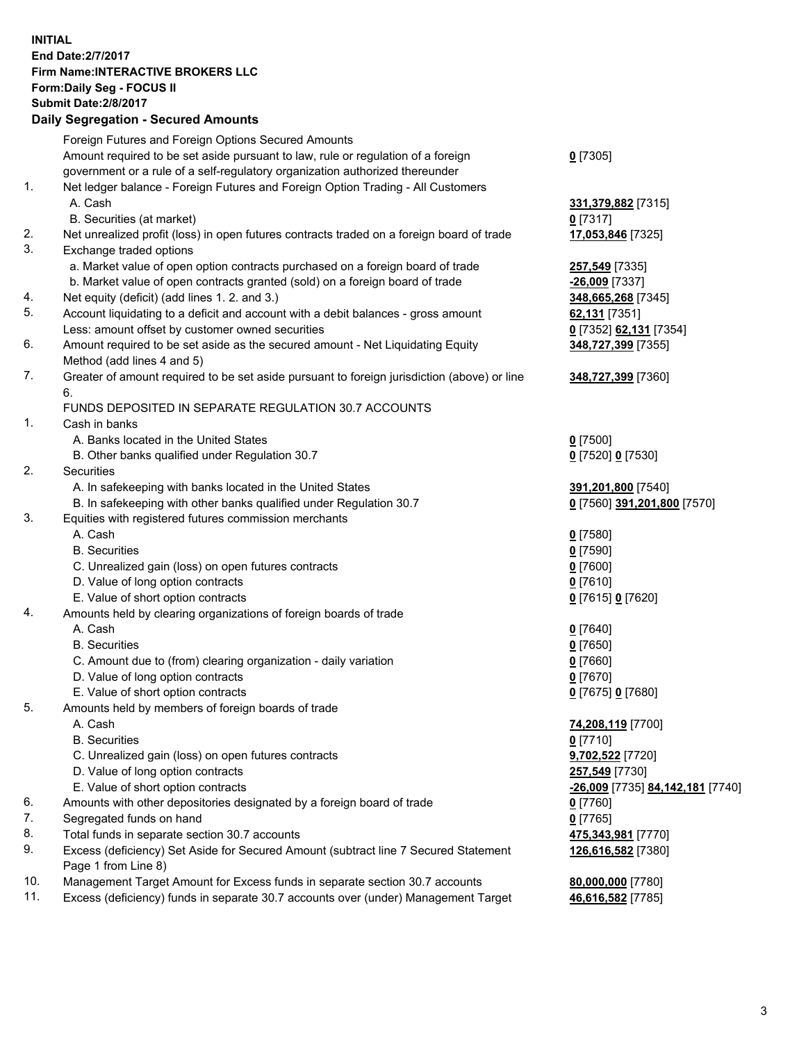**INITIAL End Date:2/7/2017 Firm Name:INTERACTIVE BROKERS LLC Form:Daily Seg - FOCUS II Submit Date:2/8/2017 Daily Segregation - Secured Amounts**

|          | Foreign Futures and Foreign Options Secured Amounts                                                                                                               |                                        |
|----------|-------------------------------------------------------------------------------------------------------------------------------------------------------------------|----------------------------------------|
|          | Amount required to be set aside pursuant to law, rule or regulation of a foreign                                                                                  | $0$ [7305]                             |
|          | government or a rule of a self-regulatory organization authorized thereunder                                                                                      |                                        |
| 1.       | Net ledger balance - Foreign Futures and Foreign Option Trading - All Customers                                                                                   |                                        |
|          |                                                                                                                                                                   |                                        |
|          | A. Cash<br>B. Securities (at market)                                                                                                                              | 331,379,882 [7315]                     |
|          |                                                                                                                                                                   | $0$ [7317]                             |
| 2.<br>3. | Net unrealized profit (loss) in open futures contracts traded on a foreign board of trade                                                                         | 17,053,846 [7325]                      |
|          | Exchange traded options                                                                                                                                           |                                        |
|          | a. Market value of open option contracts purchased on a foreign board of trade                                                                                    | 257,549 [7335]                         |
|          | b. Market value of open contracts granted (sold) on a foreign board of trade                                                                                      | -26,009 [7337]                         |
| 4.       | Net equity (deficit) (add lines 1.2. and 3.)                                                                                                                      | 348,665,268 [7345]                     |
| 5.       | Account liquidating to a deficit and account with a debit balances - gross amount                                                                                 | 62,131 [7351]                          |
|          | Less: amount offset by customer owned securities                                                                                                                  | 0 [7352] 62,131 [7354]                 |
| 6.       | Amount required to be set aside as the secured amount - Net Liquidating Equity<br>Method (add lines 4 and 5)                                                      | 348,727,399 [7355]                     |
| 7.       | Greater of amount required to be set aside pursuant to foreign jurisdiction (above) or line                                                                       | 348,727,399 [7360]                     |
|          | 6.                                                                                                                                                                |                                        |
|          | FUNDS DEPOSITED IN SEPARATE REGULATION 30.7 ACCOUNTS                                                                                                              |                                        |
| 1.       | Cash in banks                                                                                                                                                     |                                        |
|          | A. Banks located in the United States                                                                                                                             | $0$ [7500]                             |
|          | B. Other banks qualified under Regulation 30.7                                                                                                                    | 0 [7520] 0 [7530]                      |
| 2.       | Securities                                                                                                                                                        |                                        |
|          | A. In safekeeping with banks located in the United States                                                                                                         | 391,201,800 [7540]                     |
|          | B. In safekeeping with other banks qualified under Regulation 30.7                                                                                                | 0 [7560] 391,201,800 [7570]            |
| 3.       | Equities with registered futures commission merchants                                                                                                             |                                        |
|          | A. Cash                                                                                                                                                           | $0$ [7580]                             |
|          | <b>B.</b> Securities                                                                                                                                              | $0$ [7590]                             |
|          | C. Unrealized gain (loss) on open futures contracts                                                                                                               | $0$ [7600]                             |
|          | D. Value of long option contracts                                                                                                                                 | $0$ [7610]                             |
|          | E. Value of short option contracts                                                                                                                                | 0 [7615] 0 [7620]                      |
| 4.       | Amounts held by clearing organizations of foreign boards of trade                                                                                                 |                                        |
|          | A. Cash                                                                                                                                                           | $0$ [7640]                             |
|          | <b>B.</b> Securities                                                                                                                                              | $0$ [7650]                             |
|          | C. Amount due to (from) clearing organization - daily variation                                                                                                   | $0$ [7660]                             |
|          | D. Value of long option contracts                                                                                                                                 | $0$ [7670]                             |
|          | E. Value of short option contracts                                                                                                                                | 0 [7675] 0 [7680]                      |
| 5.       | Amounts held by members of foreign boards of trade                                                                                                                |                                        |
|          | A. Cash                                                                                                                                                           | 74,208,119 [7700]                      |
|          | <b>B.</b> Securities                                                                                                                                              | $0$ [7710]                             |
|          | C. Unrealized gain (loss) on open futures contracts                                                                                                               | 9,702,522 [7720]                       |
|          | D. Value of long option contracts                                                                                                                                 | 257,549 [7730]                         |
|          | E. Value of short option contracts                                                                                                                                | -26,009 [7735] 84,142,181 [7740]       |
| 6.       | Amounts with other depositories designated by a foreign board of trade                                                                                            | $0$ [7760]                             |
| 7.       | Segregated funds on hand                                                                                                                                          |                                        |
| 8.       | Total funds in separate section 30.7 accounts                                                                                                                     | $0$ [7765]                             |
| 9.       |                                                                                                                                                                   | 475,343,981 [7770]                     |
|          | Excess (deficiency) Set Aside for Secured Amount (subtract line 7 Secured Statement                                                                               | 126,616,582 [7380]                     |
| 10.      | Page 1 from Line 8)                                                                                                                                               |                                        |
| 11.      | Management Target Amount for Excess funds in separate section 30.7 accounts<br>Excess (deficiency) funds in separate 30.7 accounts over (under) Management Target | 80,000,000 [7780]<br>46,616,582 [7785] |
|          |                                                                                                                                                                   |                                        |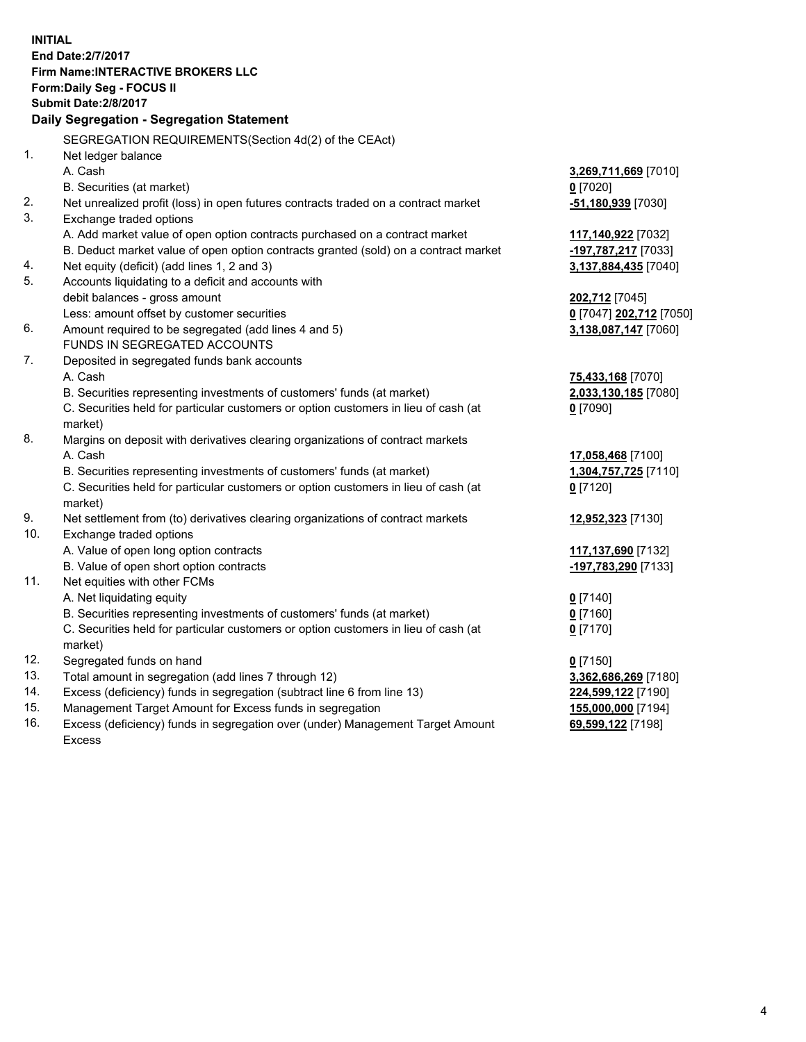**INITIAL End Date:2/7/2017 Firm Name:INTERACTIVE BROKERS LLC Form:Daily Seg - FOCUS II Submit Date:2/8/2017 Daily Segregation - Segregation Statement** SEGREGATION REQUIREMENTS(Section 4d(2) of the CEAct) 1. Net ledger balance A. Cash **3,269,711,669** [7010] B. Securities (at market) **0** [7020] 2. Net unrealized profit (loss) in open futures contracts traded on a contract market **-51,180,939** [7030] 3. Exchange traded options A. Add market value of open option contracts purchased on a contract market **117,140,922** [7032] B. Deduct market value of open option contracts granted (sold) on a contract market **-197,787,217** [7033] 4. Net equity (deficit) (add lines 1, 2 and 3) **3,137,884,435** [7040] 5. Accounts liquidating to a deficit and accounts with debit balances - gross amount **202,712** [7045] Less: amount offset by customer securities **0** [7047] **202,712** [7050] 6. Amount required to be segregated (add lines 4 and 5) **3,138,087,147** [7060] FUNDS IN SEGREGATED ACCOUNTS 7. Deposited in segregated funds bank accounts A. Cash **75,433,168** [7070] B. Securities representing investments of customers' funds (at market) **2,033,130,185** [7080] C. Securities held for particular customers or option customers in lieu of cash (at market) **0** [7090] 8. Margins on deposit with derivatives clearing organizations of contract markets A. Cash **17,058,468** [7100] B. Securities representing investments of customers' funds (at market) **1,304,757,725** [7110] C. Securities held for particular customers or option customers in lieu of cash (at market) **0** [7120] 9. Net settlement from (to) derivatives clearing organizations of contract markets **12,952,323** [7130] 10. Exchange traded options A. Value of open long option contracts **117,137,690** [7132] B. Value of open short option contracts **-197,783,290** [7133] 11. Net equities with other FCMs A. Net liquidating equity **0** [7140] B. Securities representing investments of customers' funds (at market) **0** [7160] C. Securities held for particular customers or option customers in lieu of cash (at market) **0** [7170] 12. Segregated funds on hand **0** [7150] 13. Total amount in segregation (add lines 7 through 12) **3,362,686,269** [7180] 14. Excess (deficiency) funds in segregation (subtract line 6 from line 13) **224,599,122** [7190] 15. Management Target Amount for Excess funds in segregation **155,000,000** [7194] 16. Excess (deficiency) funds in segregation over (under) Management Target Amount **69,599,122** [7198]

Excess